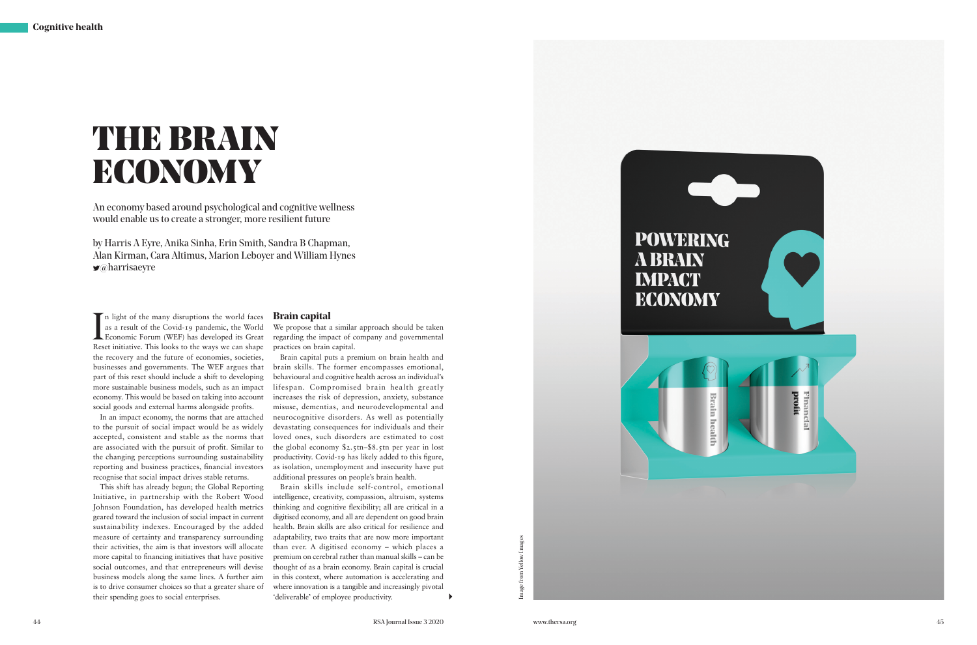

In light of the many disruptions the world faces<br>as a result of the Covid-19 pandemic, the World<br>Economic Forum (WEF) has developed its Great<br>Recet initiative. This looks to the wave we can shape n light of the many disruptions the world faces as a result of the Covid-19 pandemic, the World Reset initiative. This looks to the ways we can shape the recovery and the future of economies, societies, businesses and governments. The WEF argues that part of this reset should include a shift to developing more sustainable business models, such as an impact economy. This would be based on taking into account social goods and external harms alongside profits.

In an impact economy, the norms that are attached to the pursuit of social impact would be as widely accepted, consistent and stable as the norms that are associated with the pursuit of profit. Similar to the changing perceptions surrounding sustainability reporting and business practices, financial investors recognise that social impact drives stable returns.

This shift has already begun; the Global Reporting Initiative, in partnership with the Robert Wood Johnson Foundation, has developed health metrics geared toward the inclusion of social impact in current sustainability indexes. Encouraged by the added measure of certainty and transparency surrounding their activities, the aim is that investors will allocate more capital to financing initiatives that have positive social outcomes, and that entrepreneurs will devise business models along the same lines. A further aim is to drive consumer choices so that a greater share of their spending goes to social enterprises.

## THE BRAIN ECONOMY

by Harris A Eyre, Anika Sinha, Erin Smith, Sandra B Chapman, Alan Kirman, Cara Altimus, Marion Leboyer and William Hynes  $\blacktriangleright$  @harrisaeyre

## **Brain capital**

**POWERING A BRAIN IMPACT ECONOMY** 

**Brain health** 

We propose that a similar approach should be taken regarding the impact of company and governmental practices on brain capital.

Brain capital puts a premium on brain health and brain skills. The former encompasses emotional, behavioural and cognitive health across an individual's lifespan. Compromised brain health greatly increases the risk of depression, anxiety, substance misuse, dementias, and neurodevelopmental and neurocognitive disorders. As well as potentially devastating consequences for individuals and their loved ones, such disorders are estimated to cost the global economy \$2.5tn–\$8.5tn per year in lost productivity. Covid-19 has likely added to this figure, as isolation, unemployment and insecurity have put additional pressures on people's brain health.

Brain skills include self-control, emotional intelligence, creativity, compassion, altruism, systems thinking and cognitive flexibility; all are critical in a digitised economy, and all are dependent on good brain health. Brain skills are also critical for resilience and adaptability, two traits that are now more important than ever. A digitised economy – which places a premium on cerebral rather than manual skills – can be thought of as a brain economy. Brain capital is crucial in this context, where automation is accelerating and where innovation is a tangible and increasingly pivotal 'deliverable' of employee productivity.

An economy based around psychological and cognitive wellness would enable us to create a stronger, more resilient future